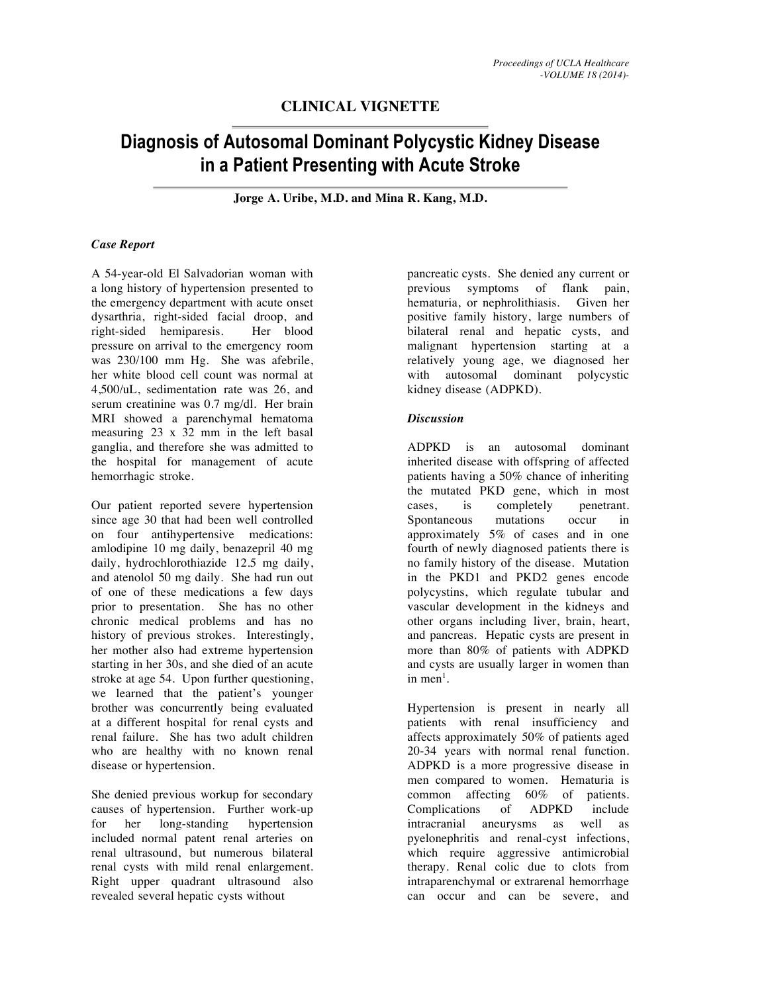## **CLINICAL VIGNETTE**

# **Diagnosis of Autosomal Dominant Polycystic Kidney Disease in a Patient Presenting with Acute Stroke**

**Jorge A. Uribe, M.D. and Mina R. Kang, M.D.**

#### *Case Report*

A 54-year-old El Salvadorian woman with a long history of hypertension presented to the emergency department with acute onset dysarthria, right-sided facial droop, and right-sided hemiparesis. Her blood pressure on arrival to the emergency room was 230/100 mm Hg. She was afebrile, her white blood cell count was normal at 4,500/uL, sedimentation rate was 26, and serum creatinine was 0.7 mg/dl. Her brain MRI showed a parenchymal hematoma measuring 23 x 32 mm in the left basal ganglia, and therefore she was admitted to the hospital for management of acute hemorrhagic stroke.

Our patient reported severe hypertension since age 30 that had been well controlled on four antihypertensive medications: amlodipine 10 mg daily, benazepril 40 mg daily, hydrochlorothiazide 12.5 mg daily, and atenolol 50 mg daily. She had run out of one of these medications a few days prior to presentation. She has no other chronic medical problems and has no history of previous strokes. Interestingly, her mother also had extreme hypertension starting in her 30s, and she died of an acute stroke at age 54. Upon further questioning, we learned that the patient's younger brother was concurrently being evaluated at a different hospital for renal cysts and renal failure. She has two adult children who are healthy with no known renal disease or hypertension.

She denied previous workup for secondary causes of hypertension. Further work-up for her long-standing hypertension included normal patent renal arteries on renal ultrasound, but numerous bilateral renal cysts with mild renal enlargement. Right upper quadrant ultrasound also revealed several hepatic cysts without

pancreatic cysts. She denied any current or previous symptoms of flank pain, hematuria, or nephrolithiasis. Given her positive family history, large numbers of bilateral renal and hepatic cysts, and malignant hypertension starting at a relatively young age, we diagnosed her with autosomal dominant polycystic kidney disease (ADPKD).

#### *Discussion*

ADPKD is an autosomal dominant inherited disease with offspring of affected patients having a 50% chance of inheriting the mutated PKD gene, which in most<br>cases, is completely penetrant. cases, is completely Spontaneous mutations occur in approximately 5% of cases and in one fourth of newly diagnosed patients there is no family history of the disease. Mutation in the PKD1 and PKD2 genes encode polycystins, which regulate tubular and vascular development in the kidneys and other organs including liver, brain, heart, and pancreas. Hepatic cysts are present in more than 80% of patients with ADPKD and cysts are usually larger in women than in men<sup>1</sup>.

Hypertension is present in nearly all patients with renal insufficiency and affects approximately 50% of patients aged 2034 years with normal renal function. ADPKD is a more progressive disease in men compared to women. Hematuria is common affecting 60% of patients. Complications of ADPKD include intracranial aneurysms as well as pyelonephritis and renal-cyst infections, which require aggressive antimicrobial therapy. Renal colic due to clots from intraparenchymal or extrarenal hemorrhage can occur and can be severe, and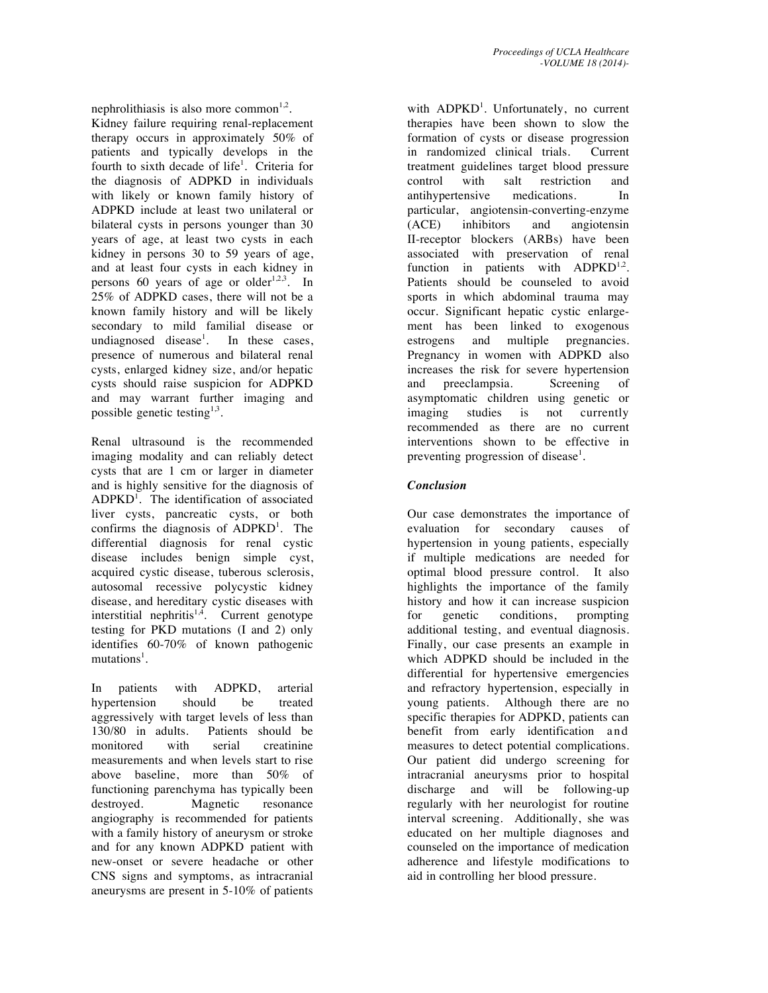nephrolithiasis is also more common<sup>1,2</sup>.

Kidney failure requiring renal-replacement therapy occurs in approximately 50% of patients and typically develops in the fourth to sixth decade of life<sup>1</sup>. Criteria for the diagnosis of ADPKD in individuals with likely or known family history of ADPKD include at least two unilateral or bilateral cysts in persons younger than 30 years of age, at least two cysts in each kidney in persons 30 to 59 years of age, and at least four cysts in each kidney in persons 60 years of age or older<sup>1,2,3</sup>. In 25% of ADPKD cases, there will not be a known family history and will be likely secondary to mild familial disease or undiagnosed disease<sup>1</sup>. In these cases, presence of numerous and bilateral renal cysts, enlarged kidney size, and/or hepatic cysts should raise suspicion for ADPKD and may warrant further imaging and possible genetic testing $1,3$ .

Renal ultrasound is the recommended imaging modality and can reliably detect cysts that are 1 cm or larger in diameter and is highly sensitive for the diagnosis of  $ADPKD<sup>1</sup>$ . The identification of associated liver cysts, pancreatic cysts, or both confirms the diagnosis of ADPKD<sup>1</sup>. The differential diagnosis for renal cystic disease includes benign simple cyst, acquired cystic disease, tuberous sclerosis, autosomal recessive polycystic kidney disease, and hereditary cystic diseases with interstitial nephritis<sup>1,4</sup>. Current genotype testing for PKD mutations (I and 2) only identifies  $60-70\%$  of known pathogenic mutations<sup>1</sup>.

In patients with ADPKD, arterial hypertension should be treated aggressively with target levels of less than 130/80 in adults. Patients should be monitored with serial creatinine measurements and when levels start to rise above baseline, more than 50% of functioning parenchyma has typically been destroyed. Magnetic resonance angiography is recommended for patients with a family history of aneurysm or stroke and for any known ADPKD patient with new-onset or severe headache or other CNS signs and symptoms, as intracranial aneurysms are present in 510% of patients

with ADPKD<sup>1</sup>. Unfortunately, no current therapies have been shown to slow the formation of cysts or disease progression in randomized clinical trials. Current treatment guidelines target blood pressure control with salt restriction and antihypertensive medications. In particular, angiotensin-converting-enzyme (ACE) inhibitors and angiotensin II-receptor blockers (ARBs) have been associated with preservation of renal function in patients with  $ADPKD^{1,2}$ . Patients should be counseled to avoid sports in which abdominal trauma may occur. Significant hepatic cystic enlargement has been linked to exogenous estrogens and multiple pregnancies. Pregnancy in women with ADPKD also increases the risk for severe hypertension and preeclampsia. Screening of asymptomatic children using genetic or<br>imaging studies is not currently imaging studies is not currently recommended as there are no current interventions shown to be effective in preventing progression of disease<sup>1</sup>.

### *Conclusion*

Our case demonstrates the importance of evaluation for secondary causes of hypertension in young patients, especially if multiple medications are needed for optimal blood pressure control. It also highlights the importance of the family history and how it can increase suspicion for genetic conditions, prompting additional testing, and eventual diagnosis. Finally, our case presents an example in which ADPKD should be included in the differential for hypertensive emergencies and refractory hypertension, especially in young patients. Although there are no specific therapies for ADPKD, patients can benefit from early identification and measures to detect potential complications. Our patient did undergo screening for intracranial aneurysms prior to hospital discharge and will be following-up regularly with her neurologist for routine interval screening. Additionally, she was educated on her multiple diagnoses and counseled on the importance of medication adherence and lifestyle modifications to aid in controlling her blood pressure.